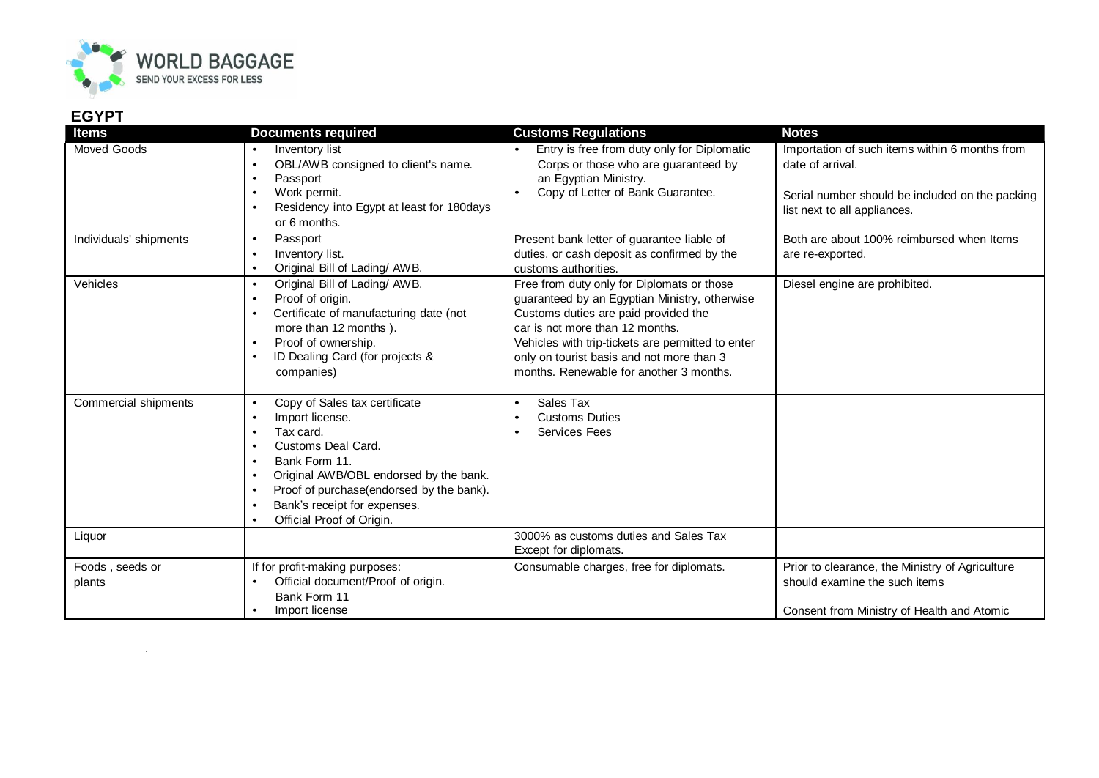

.

## **EGYPT**

| <b>Items</b>              | <b>Documents required</b>                                                                                                                                                                                                                                                                                                                          | <b>Customs Regulations</b>                                                                                                                                                                                                                                                                                          | <b>Notes</b>                                                                                                                                          |
|---------------------------|----------------------------------------------------------------------------------------------------------------------------------------------------------------------------------------------------------------------------------------------------------------------------------------------------------------------------------------------------|---------------------------------------------------------------------------------------------------------------------------------------------------------------------------------------------------------------------------------------------------------------------------------------------------------------------|-------------------------------------------------------------------------------------------------------------------------------------------------------|
| <b>Moved Goods</b>        | Inventory list<br>$\bullet$<br>OBL/AWB consigned to client's name.<br>$\bullet$<br>Passport<br>$\bullet$<br>Work permit.<br>$\bullet$<br>Residency into Egypt at least for 180days<br>$\bullet$<br>or 6 months.                                                                                                                                    | Entry is free from duty only for Diplomatic<br>Corps or those who are guaranteed by<br>an Egyptian Ministry.<br>Copy of Letter of Bank Guarantee.<br>$\bullet$                                                                                                                                                      | Importation of such items within 6 months from<br>date of arrival.<br>Serial number should be included on the packing<br>list next to all appliances. |
| Individuals' shipments    | Passport<br>$\bullet$<br>Inventory list.<br>$\bullet$<br>Original Bill of Lading/ AWB.<br>$\bullet$                                                                                                                                                                                                                                                | Present bank letter of guarantee liable of<br>duties, or cash deposit as confirmed by the<br>customs authorities.                                                                                                                                                                                                   | Both are about 100% reimbursed when Items<br>are re-exported.                                                                                         |
| Vehicles                  | Original Bill of Lading/ AWB.<br>$\bullet$<br>Proof of origin.<br>$\bullet$<br>Certificate of manufacturing date (not<br>$\bullet$<br>more than 12 months).<br>Proof of ownership.<br>٠<br>ID Dealing Card (for projects &<br>$\bullet$<br>companies)                                                                                              | Free from duty only for Diplomats or those<br>guaranteed by an Egyptian Ministry, otherwise<br>Customs duties are paid provided the<br>car is not more than 12 months.<br>Vehicles with trip-tickets are permitted to enter<br>only on tourist basis and not more than 3<br>months. Renewable for another 3 months. | Diesel engine are prohibited.                                                                                                                         |
| Commercial shipments      | Copy of Sales tax certificate<br>$\bullet$<br>Import license.<br>$\bullet$<br>Tax card.<br>$\bullet$<br>Customs Deal Card.<br>Bank Form 11.<br>$\bullet$<br>Original AWB/OBL endorsed by the bank.<br>$\bullet$<br>Proof of purchase(endorsed by the bank).<br>$\bullet$<br>Bank's receipt for expenses.<br>$\bullet$<br>Official Proof of Origin. | Sales Tax<br>$\bullet$<br><b>Customs Duties</b><br>$\bullet$<br><b>Services Fees</b><br>$\bullet$                                                                                                                                                                                                                   |                                                                                                                                                       |
| Liquor                    |                                                                                                                                                                                                                                                                                                                                                    | 3000% as customs duties and Sales Tax<br>Except for diplomats.                                                                                                                                                                                                                                                      |                                                                                                                                                       |
| Foods, seeds or<br>plants | If for profit-making purposes:<br>Official document/Proof of origin.<br>Bank Form 11<br>Import license<br>$\bullet$                                                                                                                                                                                                                                | Consumable charges, free for diplomats.                                                                                                                                                                                                                                                                             | Prior to clearance, the Ministry of Agriculture<br>should examine the such items<br>Consent from Ministry of Health and Atomic                        |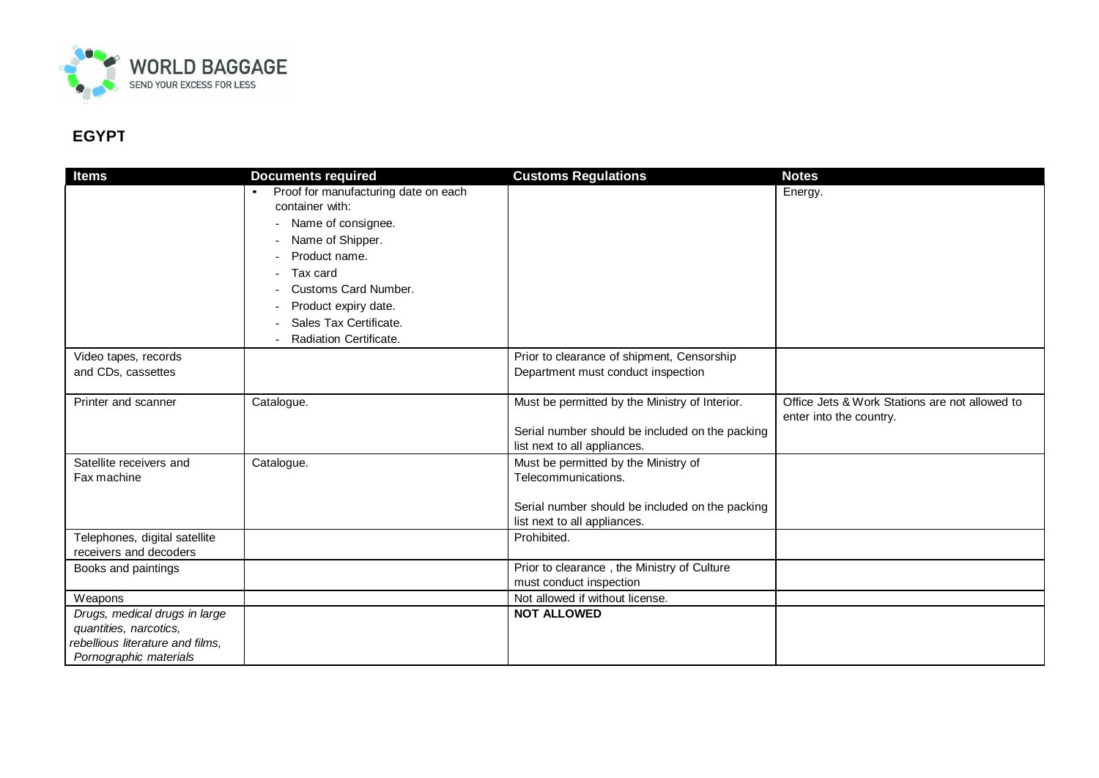

## **EGYPT**

| <b>Items</b>                     | <b>Documents required</b>            | <b>Customs Regulations</b>                                                      | <b>Notes</b>                                   |
|----------------------------------|--------------------------------------|---------------------------------------------------------------------------------|------------------------------------------------|
|                                  | Proof for manufacturing date on each |                                                                                 | Energy.                                        |
|                                  | container with:                      |                                                                                 |                                                |
|                                  | Name of consignee.                   |                                                                                 |                                                |
|                                  | Name of Shipper.                     |                                                                                 |                                                |
|                                  | Product name.                        |                                                                                 |                                                |
|                                  | Tax card                             |                                                                                 |                                                |
|                                  | Customs Card Number.                 |                                                                                 |                                                |
|                                  | Product expiry date.                 |                                                                                 |                                                |
|                                  | Sales Tax Certificate.               |                                                                                 |                                                |
|                                  | Radiation Certificate.               |                                                                                 |                                                |
| Video tapes, records             |                                      | Prior to clearance of shipment, Censorship                                      |                                                |
| and CDs, cassettes               |                                      | Department must conduct inspection                                              |                                                |
|                                  |                                      |                                                                                 |                                                |
| Printer and scanner              | Catalogue.                           | Must be permitted by the Ministry of Interior.                                  | Office Jets & Work Stations are not allowed to |
|                                  |                                      |                                                                                 | enter into the country.                        |
|                                  |                                      | Serial number should be included on the packing                                 |                                                |
|                                  |                                      | list next to all appliances.                                                    |                                                |
| Satellite receivers and          | Catalogue.                           | Must be permitted by the Ministry of                                            |                                                |
| Fax machine                      |                                      | Telecommunications.                                                             |                                                |
|                                  |                                      |                                                                                 |                                                |
|                                  |                                      | Serial number should be included on the packing<br>list next to all appliances. |                                                |
| Telephones, digital satellite    |                                      | Prohibited.                                                                     |                                                |
| receivers and decoders           |                                      |                                                                                 |                                                |
| Books and paintings              |                                      | Prior to clearance, the Ministry of Culture                                     |                                                |
|                                  |                                      | must conduct inspection                                                         |                                                |
| Weapons                          |                                      | Not allowed if without license.                                                 |                                                |
| Drugs, medical drugs in large    |                                      | <b>NOT ALLOWED</b>                                                              |                                                |
| quantities, narcotics,           |                                      |                                                                                 |                                                |
| rebellious literature and films, |                                      |                                                                                 |                                                |
| Pornographic materials           |                                      |                                                                                 |                                                |